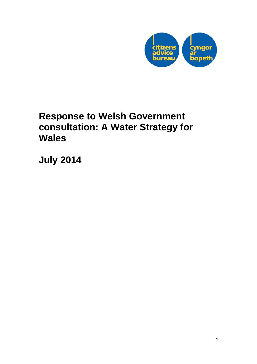

# **Response to Welsh Government consultation: A Water Strategy for Wales**

**July 2014**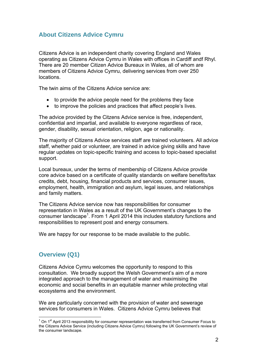# **About Citizens Advice Cymru**

Citizens Advice is an independent charity covering England and Wales operating as Citizens Advice Cymru in Wales with offices in Cardiff andf Rhyl. There are 20 member Citizen Advice Bureaux in Wales, all of whom are members of Citizens Advice Cymru, delivering services from over 250 locations.

The twin aims of the Citizens Advice service are:

- to provide the advice people need for the problems they face
- to improve the policies and practices that affect people's lives.

The advice provided by the Citzens Advice service is free, independent, confidential and impartial, and available to everyone regardless of race, gender, disability, sexual orientation, religion, age or nationality.

The majority of Citizens Advice services staff are trained volunteers. All advice staff, whether paid or volunteer, are trained in advice giving skills and have regular updates on topic-specific training and access to topic-based specialist support.

Local bureaux, under the terms of membership of Citizens Advice provide core advice based on a certificate of quality standards on welfare benefits/tax credits, debt, housing, financial products and services, consumer issues, employment, health, immigration and asylum, legal issues, and relationships and family matters.

The Citizens Advice service now has responsibilities for consumer representation in Wales as a result of the UK Government's changes to the consumer landscape<sup>1</sup>. From 1 April 2014 this includes statutory functions and responsibilities to represent post and energy consumers.

We are happy for our response to be made available to the public.

# **Overview (Q1)**

l

Citizens Advice Cymru welcomes the opportunity to respond to this consultation. We broadly support the Welsh Government's aim of a more integrated approach to the management of water and maximising the economic and social benefits in an equitable manner while protecting vital ecosystems and the environment.

We are particularly concerned with the provision of water and sewerage services for consumers in Wales. Citizens Advice Cymru believes that

 $1$  On  $1<sup>st</sup>$  April 2013 responsibility for consumer representation was transferred from Consumer Focus to the Citizens Advice Service (including Citizens Advice Cymru) following the UK Government's review of the consumer landscape.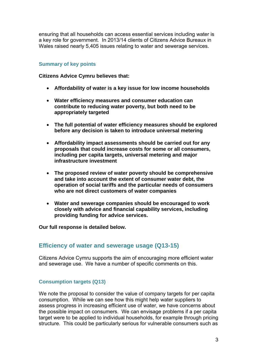ensuring that all households can access essential services including water is a key role for government. In 2013/14 clients of Citizens Advice Bureaux in Wales raised nearly 5,405 issues relating to water and sewerage services.

#### **Summary of key points**

**Citizens Advice Cymru believes that:** 

- **Affordability of water is a key issue for low income households**
- **Water efficiency measures and consumer education can contribute to reducing water poverty, but both need to be appropriately targeted**
- **The full potential of water efficiency measures should be explored before any decision is taken to introduce universal metering**
- **Affordability impact assessments should be carried out for any proposals that could increase costs for some or all consumers, including per capita targets, universal metering and major infrastructure investment**
- **The proposed review of water poverty should be comprehensive and take into account the extent of consumer water debt, the operation of social tariffs and the particular needs of consumers who are not direct customers of water companies**
- **Water and sewerage companies should be encouraged to work closely with advice and financial capability services, including providing funding for advice services.**

**Our full response is detailed below.** 

# **Efficiency of water and sewerage usage (Q13-15)**

Citizens Advice Cymru supports the aim of encouraging more efficient water and sewerage use. We have a number of specific comments on this.

# **Consumption targets (Q13)**

We note the proposal to consider the value of company targets for per capita consumption. While we can see how this might help water suppliers to assess progress in increasing efficient use of water, we have concerns about the possible impact on consumers. We can envisage problems if a per capita target were to be applied to individual households, for example through pricing structure. This could be particularly serious for vulnerable consumers such as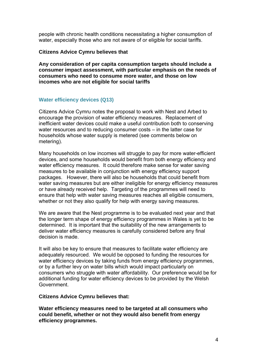people with chronic health conditions necessitating a higher consumption of water, especially those who are not aware of or eligible for social tariffs.

#### **Citizens Advice Cymru believes that**

**Any consideration of per capita consumption targets should include a consumer impact assessment, with particular emphasis on the needs of consumers who need to consume more water, and those on low incomes who are not eligible for social tariffs** 

#### **Water efficiency devices (Q13)**

Citizens Advice Cymru notes the proposal to work with Nest and Arbed to encourage the provision of water efficiency measures. Replacement of inefficient water devices could make a useful contribution both to conserving water resources and to reducing consumer costs – in the latter case for households whose water supply is metered (see comments below on metering).

Many households on low incomes will struggle to pay for more water-efficient devices, and some households would benefit from both energy efficiency and water efficiency measures. It could therefore make sense for water saving measures to be available in conjunction with energy efficiency support packages. However, there will also be households that could benefit from water saving measures but are either ineligible for energy efficiency measures or have already received help. Targeting of the programmes will need to ensure that help with water saving measures reaches all eligible consumers, whether or not they also qualify for help with energy saving measures.

We are aware that the Nest programme is to be evaluated next year and that the longer term shape of energy efficiency programmes in Wales is yet to be determined. It is important that the suitability of the new arrangements to deliver water efficiency measures is carefully considered before any final decision is made.

It will also be key to ensure that measures to facilitate water efficiency are adequately resourced. We would be opposed to funding the resources for water efficiency devices by taking funds from energy efficiency programmes, or by a further levy on water bills which would impact particularly on consumers who struggle with water affordability. Our preference would be for additional funding for water efficiency devices to be provided by the Welsh Government.

#### **Citizens Advice Cymru believes that:**

**Water efficiency measures need to be targeted at all consumers who could benefit, whether or not they would also benefit from energy efficiency programmes.**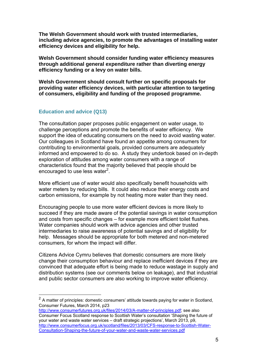**The Welsh Government should work with trusted intermediaries, including advice agencies, to promote the advantages of installing water efficiency devices and eligibility for help.** 

**Welsh Government should consider funding water efficiency measures through additional general expenditure rather than diverting energy efficiency funding or a levy on water bills.** 

**Welsh Government should consult further on specific proposals for providing water efficiency devices, with particular attention to targeting of consumers, eligibility and funding of the proposed programme.** 

#### **Education and advice (Q13)**

l

The consultation paper proposes public engagement on water usage, to challenge perceptions and promote the benefits of water efficiency. We support the idea of educating consumers on the need to avoid wasting water. Our colleagues in Scotland have found an appetite among consumers for contributing to environmental goals, provided consumers are adequately informed and empowered to do so. A study they undertook based on in-depth exploration of attitudes among water consumers with a range of characteristics found that the majority believed that people should be encouraged to use less water<sup>2</sup>.

More efficient use of water would also specifically benefit households with water meters by reducing bills. It could also reduce their energy costs and carbon emissions, for example by not heating more water than they need.

Encouraging people to use more water efficient devices is more likely to succeed if they are made aware of the potential savings in water consumption and costs from specific changes – for example more efficient toilet flushes. Water companies should work with advice agencies and other trusted intermediaries to raise awareness of potential savings and of eligibility for help. Messages should be appropriate for both metered and non-metered consumers, for whom the impact will differ.

Citizens Advice Cymru believes that domestic consumers are more likely change their consumption behaviour and replace inefficient devices if they are convinced that adequate effort is being made to reduce wastage in supply and distribution systems (see our comments below on leakage), and that industrial and public sector consumers are also working to improve water efficiency.

 $2$  A matter of principles: domestic consumers' attitude towards paying for water in Scotland, Consumer Futures, March 2014, p23

http://www.consumerfutures.org.uk/files/2014/03/A-matter-of-principles.pdf; see also Consumer Focus Scotland response to Scottish Water's consultation 'Shaping the future of your water and waste water services – draft strategic projections', March 2013, p9, http://www.consumerfocus.org.uk/scotland/files/2013/03/CFS-response-to-Scottish-Water-Consultation-Shaping-the-future-of-your-water-and-waste-water-services.pdf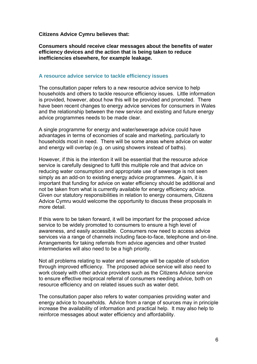**Citizens Advice Cymru believes that:** 

**Consumers should receive clear messages about the benefits of water efficiency devices and the action that is being taken to reduce inefficiencies elsewhere, for example leakage.** 

#### **A resource advice service to tackle efficiency issues**

The consultation paper refers to a new resource advice service to help households and others to tackle resource efficiency issues. Little information is provided, however, about how this will be provided and promoted. There have been recent changes to energy advice services for consumers in Wales and the relationship between the new service and existing and future energy advice programmes needs to be made clear.

A single programme for energy and water/sewerage advice could have advantages in terms of economies of scale and marketing, particularly to households most in need. There will be some areas where advice on water and energy will overlap (e.g. on using showers instead of baths).

However, if this is the intention it will be essential that the resource advice service is carefully designed to fulfil this multiple role and that advice on reducing water consumption and appropriate use of sewerage is not seen simply as an add-on to existing energy advice programmes. Again, it is important that funding for advice on water efficiency should be additional and not be taken from what is currently available for energy efficiency advice. Given our statutory responsibilities in relation to energy consumers, Citizens Advice Cymru would welcome the opportunity to discuss these proposals in more detail.

If this were to be taken forward, it will be important for the proposed advice service to be widely promoted to consumers to ensure a high level of awareness, and easily accessible. Consumers now need to access advice services via a range of channels including face-to-face, telephone and on-line. Arrangements for taking referrals from advice agencies and other trusted intermediaries will also need to be a high priority.

Not all problems relating to water and sewerage will be capable of solution through improved efficiency. The proposed advice service will also need to work closely with other advice providers such as the Citizens Advice service to ensure effective reciprocal referral of consumers needing advice, both on resource efficiency and on related issues such as water debt.

The consultation paper also refers to water companies providing water and energy advice to households. Advice from a range of sources may in principle increase the availability of information and practical help. It may also help to reinforce messages about water efficiency and affordability.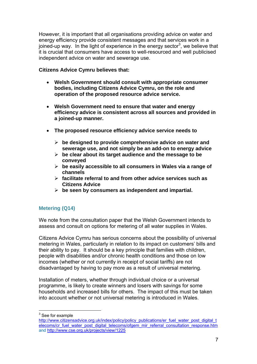However, it is important that all organisations providing advice on water and energy efficiency provide consistent messages and that services work in a joined-up way. In the light of experience in the energy sector<sup>3</sup>, we believe that it is crucial that consumers have access to well-resourced and well publicised independent advice on water and sewerage use.

## **Citizens Advice Cymru believes that:**

- **Welsh Government should consult with appropriate consumer bodies, including Citizens Advice Cymru, on the role and operation of the proposed resource advice service.**
- **Welsh Government need to ensure that water and energy efficiency advice is consistent across all sources and provided in a joined-up manner.**
- **The proposed resource efficiency advice service needs to** 
	- ¾ **be designed to provide comprehensive advice on water and sewerage use, and not simply be an add-on to energy advice**
	- ¾ **be clear about its target audience and the message to be conveyed**
	- ¾ **be easily accessible to all consumers in Wales via a range of channels**
	- ¾ **facilitate referral to and from other advice services such as Citizens Advice**
	- ¾ **be seen by consumers as independent and impartial.**

# **Metering (Q14)**

We note from the consultation paper that the Welsh Government intends to assess and consult on options for metering of all water supplies in Wales.

Citizens Advice Cymru has serious concerns about the possibility of universal metering in Wales, particularly in relation to its impact on customers' bills and their ability to pay. It should be a key principle that families with children, people with disabilities and/or chronic health conditions and those on low incomes (whether or not currently in receipt of social tariffs) are not disadvantaged by having to pay more as a result of universal metering.

Installation of meters, whether through individual choice or a universal programme, is likely to create winners and losers with savings for some households and increased bills for others. The impact of this must be taken into account whether or not universal metering is introduced in Wales.

 $\frac{3}{3}$  See for example

http://www.citizensadvice.org.uk/index/policy/policy\_publications/er\_fuel\_water\_post\_digital\_t elecoms/cr\_fuel\_water\_post\_digital\_telecoms/ofgem\_mir\_referral\_consultation\_response.htm and http://www.cse.org.uk/projects/view/1225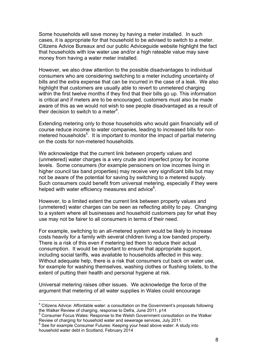Some households will save money by having a meter installed. In such cases, it is appropriate for that household to be advised to switch to a meter. Citizens Advice Bureaux and our public Adviceguide website highlight the fact that households with low water use and/or a high rateable value may save money from having a water meter installed.

However, we also draw attention to the possible disadvantages to individual consumers who are considering switching to a meter including uncertainty of bills and the extra expense that can be incurred in the case of a leak. We also highlight that customers are usually able to revert to unmetered charging within the first twelve months if they find that their bills go up. This information is critical and if meters are to be encouraged, customers must also be made aware of this as we would not wish to see people disadvantaged as a result of their decision to switch to a meter<sup>4</sup>.

Extending metering only to those households who would gain financially will of course reduce income to water companies, leading to increased bills for nonmetered households<sup>5</sup>. It is important to monitor the impact of partial metering on the costs for non-metered households.

We acknowledge that the current link between property values and (unmetered) water charges is a very crude and imperfect proxy for income levels. Some consumers (for example pensioners on low incomes living in higher council tax band properties) may receive very significant bills but may not be aware of the potential for saving by switching to a metered supply. Such consumers could benefit from universal metering, especially if they were helped with water efficiency measures and advice $6$ .

However, to a limited extent the current link between property values and (unmetered) water charges can be seen as reflecting ability to pay. Changing to a system where all businesses and household customers pay for what they use may not be fairer to all consumers in terms of their need.

For example, switching to an all-metered system would be likely to increase costs heavily for a family with several children living a low banded property. There is a risk of this even if metering led them to reduce their actual consumption. It would be important to ensure that appropriate support, including social tariffs, was available to households affected in this way. Without adequate help, there is a risk that consumers cut back on water use, for example for washing themselves, washing clothes or flushing toilets, to the extent of putting their health and personal hygiene at risk.

Universal metering raises other issues. We acknowledge the force of the argument that metering of all water supplies in Wales could encourage

l

<sup>&</sup>lt;sup>4</sup> Citizens Advice: Affordable water: a consultation on the Government's proposals following the Walker Review of charging, response to Defra, June 2011, p14

<sup>&</sup>lt;sup>5</sup> Consumer Focus Wales: Response to the Welsh Government consultation on the Walker Review of charging for household water and sewerage services, July 2011.

<sup>&</sup>lt;sup>6</sup> See for example Consumer Futures: Keeping your head above water: A study into household water debt in Scotland, February 2014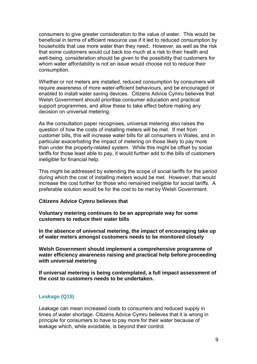consumers to give greater consideration to the value of water. This would be beneficial in terms of efficient resource use if it led to reduced consumption by households that use more water than they need. However, as well as the risk that some customers would cut back too much at a risk to their health and well-being, consideration should be given to the possibility that customers for whom water affordability is not an issue would choose not to reduce their consumption.

Whether or not meters are installed, reduced consumption by consumers will require awareness of more water-efficient behaviours, and be encouraged or enabled to install water saving devices. Citizens Advice Cymru believes that Welsh Government should prioritise consumer education and practical support programmes, and allow these to take effect before making any decision on universal metering.

As the consultation paper recognises, universal metering also raises the question of how the costs of installing meters will be met. If met from customer bills, this will increase water bills for all consumers in Wales, and in particular exacerbating the impact of metering on those likely to pay more than under the property-related system. While this might be offset by social tariffs for those least able to pay, it would further add to the bills of customers ineligible for financial help.

This might be addressed by extending the scope of social tariffs for the period during which the cost of installing meters would be met. However, that would increase the cost further for those who remained ineligible for social tariffs. A preferable solution would be for the cost to be met by Welsh Government.

#### **Citizens Advice Cymru believes that**

**Voluntary metering continues to be an appropriate way for some customers to reduce their water bills** 

**In the absence of universal metering, the impact of encouraging take up of water meters amongst customers needs to be monitored closely** 

**Welsh Government should implement a comprehensive programme of water efficiency awareness raising and practical help before proceeding with universal metering** 

**If universal metering is being contemplated, a full impact assessment of the cost to customers needs to be undertaken.** 

#### **Leakage (Q15)**

Leakage can mean increased costs to consumers and reduced supply in times of water shortage. Citizens Advice Cymru believes that it is wrong in principle for consumers to have to pay more for their water because of leakage which, while avoidable, is beyond their control.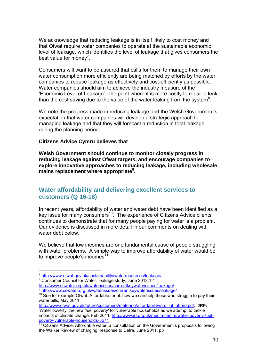We acknowledge that reducing leakage is in itself likely to cost money and that Ofwat require water companies to operate at the sustainable economic level of leakage, which identifies the level of leakage that gives consumers the best value for money<sup>7</sup>.

Consumers will want to be assured that calls for them to manage their own water consumption more efficiently are being matched by efforts by the water companies to reduce leakage as effectively and cost-efficiently as possible. Water companies should aim to achieve the industry measure of the 'Economic Level of Leakage' –the point where it is more costly to repair a leak than the cost saving due to the value of the water leaking from the system $8$ .

We note the progress made in reducing leakage and the Welsh Government's expectation that water companies will develop a strategic approach to managing leakage and that they will forecast a reduction in total leakage during the planning period.

#### **Citizens Advice Cymru believes that**

**Welsh Government should continue to monitor closely progress in reducing leakage against Ofwat targets, and encourage companies to explore innovative approaches to reducing leakage, including wholesale mains replacement where appropriate9 .** 

# **Water affordability and delivering excellent services to customers (Q 16-18)**

In recent years, affordability of water and water debt have been identified as a key issue for many consumers<sup>10</sup>. The experience of Citizens Advice clients continues to demonstrate that for many people paying for water is a problem. Our evidence is discussed in more detail in our comments on dealing with water debt below.

We believe that low incomes are one fundamental cause of people struggling with water problems. A simple way to improve affordability of water would be to improve people's incomes $11$ .

<sup>8</sup> Consumer Council for Water: leakage study, June 2013,1.4

l

<sup>7</sup> http://www.ofwat.gov.uk/sustainability/waterresources/leakage/<br>
<sup>8</sup> Consumer Council for Water: leakage study, June 2013,1.4<br>
http://www.ccwater.org.uk/waterissues/currentkeywaterissues/leakage/

http://www.ofwat.gov.uk/future/customers/metering/affordability/prs\_inf\_afford.pdf; **JRF:**  'Water poverty' the new 'fuel poverty' for vulnerable households as we attempt to tackle impacts of climate change, Feb 2011, http://www.jrf.org.uk/media-centre/water-poverty-fuel-

<sup>&</sup>lt;sup>9</sup> http://www.ccwater.org.uk/waterissues/currentkeywaterissues/leakage/<br><sup>10</sup> See for example Ofwat: Affordable for al: how we can help those who struggle to pay their water bills, May 2011,

poverty-vulnerable-households-5571<br><sup>11</sup> Citizens Advice: Affordable water: a consultation on the Government's proposals following the Walker Review of charging, response to Defra, June 2011, p3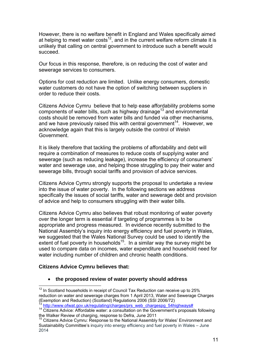However, there is no welfare benefit in England and Wales specifically aimed at helping to meet water costs<sup>12</sup>, and in the current welfare reform climate it is unlikely that calling on central government to introduce such a benefit would succeed.

Our focus in this response, therefore, is on reducing the cost of water and sewerage services to consumers.

Options for cost reduction are limited. Unlike energy consumers, domestic water customers do not have the option of switching between suppliers in order to reduce their costs.

Citizens Advice Cymru believe that to help ease affordability problems some components of water bills, such as highway drainage<sup>13</sup> and environmental costs should be removed from water bills and funded via other mechanisms, and we have previously raised this with central government<sup>14</sup>. However, we acknowledge again that this is largely outside the control of Welsh Government.

It is likely therefore that tackling the problems of affordability and debt will require a combination of measures to reduce costs of supplying water and sewerage (such as reducing leakage), increase the efficiency of consumers' water and sewerage use, and helping those struggling to pay their water and sewerage bills, through social tariffs and provision of advice services.

Citizens Advice Cymru strongly supports the proposal to undertake a review into the issue of water poverty. In the following sections we address specifically the issues of social tariffs, water and sewerage debt and provision of advice and help to consumers struggling with their water bills.

Citizens Advice Cymru also believes that robust monitoring of water poverty over the longer term is essential if targeting of programmes is to be appropriate and progress measured. In evidence recently submitted to the National Assembly's inquiry into energy efficiency and fuel poverty in Wales, we suggested that the Wales National Survey could be used to identify the extent of fuel poverty in households<sup>15</sup>. In a similar way the survey might be used to compare data on incomes, water expenditure and household need for water including number of children and chronic health conditions.

#### **Citizens Advice Cymru believes that:**

l

#### • **the proposed review of water poverty should address**

 $12$  In Scotland households in receipt of Council Tax Reduction can receive up to 25% reduction on water and sewerage charges from 1 April 2013, Water and Sewerage Charges (Exemption and Reduction) (Scotland) Regulations 2006 (SSI 2006/72)<br><sup>13</sup> http://www.ofwat.gov.uk/regulating/charges/prs\_web\_chargespg\_54highways#

<sup>&</sup>lt;sup>14</sup> Citizens Advice: Affordable water: a consultation on the Government's proposals following the Walker Review of charging, response to Defra, June 2011

<sup>15</sup> Citizens Advice Cymru: Response to the National Assembly for Wales' Environment and Sustainability Committee's inquiry into energy efficiency and fuel poverty in Wales – June 2014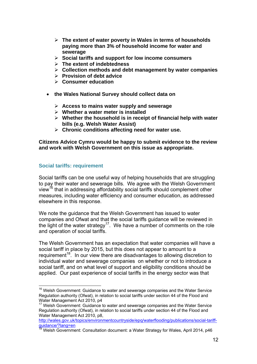- ¾ **The extent of water poverty in Wales in terms of households paying more than 3% of household income for water and sewerage**
- ¾ **Social tariffs and support for low income consumers**
- ¾ **The extent of indebtedness**
- ¾ **Collection methods and debt management by water companies**
- ¾ **Provision of debt advice**
- ¾ **Consumer education**
- **the Wales National Survey should collect data on** 
	- ¾ **Access to mains water supply and sewerage**
	- ¾ **Whether a water meter is installed**
	- ¾ **Whether the household is in receipt of financial help with water bills (e.g. Welsh Water Assist)**
	- ¾ **Chronic conditions affecting need for water use.**

**Citizens Advice Cymru would be happy to submit evidence to the review and work with Welsh Government on this issue as appropriate.** 

# **Social tariffs: requirement**

Social tariffs can be one useful way of helping households that are struggling to pay their water and sewerage bills. We agree with the Welsh Government view<sup>16</sup> that in addressing affordability social tariffs should complement other measures, including water efficiency and consumer education, as addressed elsewhere in this response.

We note the guidance that the Welsh Government has issued to water companies and Ofwat and that the social tariffs guidance will be reviewed in the light of the water strategy<sup>17</sup>. We have a number of comments on the role and operation of social tariffs.

The Welsh Government has an expectation that water companies will have a social tariff in place by 2015, but this does not appear to amount to a requirement<sup>18</sup>. In our view there are disadvantages to allowing discretion to individual water and sewerage companies on whether or not to introduce a social tariff, and on what level of support and eligibility conditions should be applied. Our past experience of social tariffs in the energy sector was that

<sup>&</sup>lt;sup>16</sup> Welsh Government: Guidance to water and sewerage companies and the Water Service Regulation authority (Ofwat), in relation to social tariffs under section 44 of the Flood and Water Management Act 2010, p4

<sup>&</sup>lt;sup>17</sup> Welsh Government: Guidance to water and sewerage companies and the Water Service Regulation authority (Ofwat), in relation to social tariffs under section 44 of the Flood and Water Management Act 2010, p8,

http://wales.gov.uk/topics/environmentcountryside/epq/waterflooding/publications/social-tariffguidance/?lang=en

 $18$  Welsh Government: Consultation document: a Water Strategy for Wales, April 2014, p46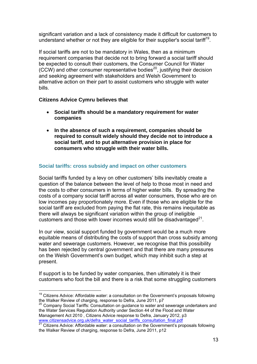significant variation and a lack of consistency made it difficult for customers to understand whether or not they are eligible for their supplier's social tariff<sup>19</sup>.

If social tariffs are not to be mandatory in Wales, then as a minimum requirement companies that decide not to bring forward a social tariff should be expected to consult their customers, the Consumer Council for Water (CCW) and other consumer representative bodies<sup>20</sup>, justifying their decision and seeking agreement with stakeholders and Welsh Government to alternative action on their part to assist customers who struggle with water bills.

## **Citizens Advice Cymru believes that**

- **Social tariffs should be a mandatory requirement for water companies**
- **In the absence of such a requirement, companies should be required to consult widely should they decide not to introduce a social tariff, and to put alternative provision in place for consumers who struggle with their water bills.**

## **Social tariffs: cross subsidy and impact on other customers**

Social tariffs funded by a levy on other customers' bills inevitably create a question of the balance between the level of help to those most in need and the costs to other consumers in terms of higher water bills. By spreading the costs of a company social tariff across all water consumers, those who are on low incomes pay proportionately more. Even if those who are eligible for the social tariff are excluded from paying the flat rate, this remains inequitable as there will always be significant variation within the group of ineligible customers and those with lower incomes would still be disadvantaged $^{21}$ .

In our view, social support funded by government would be a much more equitable means of distributing the costs of support than cross subsidy among water and sewerage customers. However, we recognise that this possibility has been rejected by central government and that there are many pressures on the Welsh Government's own budget, which may inhibit such a step at present.

If support is to be funded by water companies, then ultimately it is their customers who foot the bill and there is a risk that some struggling customers

<sup>20</sup> Company Social Tariffs: Consultation on quidance to water and sewerage undertakers and the Water Services Regulation Authority under Section 44 of the Flood and Water Management Act 2010 , Citizens Advice response to Defra, January 2012, p3 www.citizensadvice.org.uk/defra\_water\_social\_tariffs\_consultation\_final.pdf<br><sup>21</sup> Citizens Advice: Affordable water: a consultation on the Government's proposals following

 $\overline{a}$  $19$  Citizens Advice: Affordable water: a consultation on the Government's proposals following the Walker Review of charging, response to Defra, June 2011, p7

the Walker Review of charging, response to Defra, June 2011, p12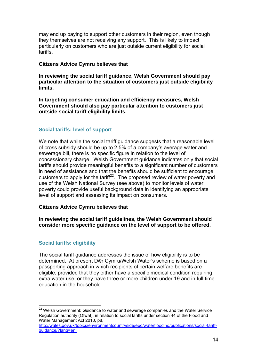may end up paying to support other customers in their region, even though they themselves are not receiving any support. This is likely to impact particularly on customers who are just outside current eligibility for social tariffs.

#### **Citizens Advice Cymru believes that**

**In reviewing the social tariff guidance, Welsh Government should pay particular attention to the situation of customers just outside eligibility limits.** 

**In targeting consumer education and efficiency measures, Welsh Government should also pay particular attention to customers just outside social tariff eligibility limits.** 

#### **Social tariffs: level of support**

We note that while the social tariff quidance suggests that a reasonable level of cross subsidy should be up to 2.5% of a company's average water and sewerage bill, there is no specific figure in relation to the level of concessionary charge. Welsh Government guidance indicates only that social tariffs should provide meaningful benefits to a significant number of customers in need of assistance and that the benefits should be sufficient to encourage customers to apply for the tariff<sup>22</sup>. The proposed review of water poverty and use of the Welsh National Survey (see above) to monitor levels of water poverty could provide useful background data in identifying an appropriate level of support and assessing its impact on consumers.

#### **Citizens Advice Cymru believes that**

**In reviewing the social tariff guidelines, the Welsh Government should consider more specific guidance on the level of support to be offered.** 

#### **Social tariffs: eligibility**

The social tariff guidance addresses the issue of how eligibility is to be determined. At present Dŵr Cymru/Welsh Water's scheme is based on a passporting approach in which recipients of certain welfare benefits are eligible, provided that they either have a specific medical condition requiring extra water use, or they have three or more children under 19 and in full time education in the household.

  $22$  Welsh Government: Guidance to water and sewerage companies and the Water Service Regulation authority (Ofwat), in relation to social tariffs under section 44 of the Flood and Water Management Act 2010, p8,

http://wales.gov.uk/topics/environmentcountryside/epq/waterflooding/publications/social-tariffguidance/?lang=en,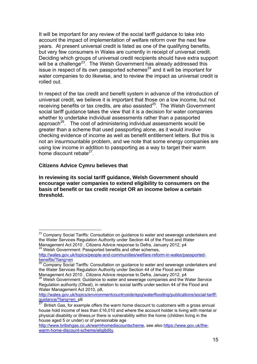It will be important for any review of the social tariff guidance to take into account the impact of implementation of welfare reform over the next few years. At present universal credit is listed as one of the qualifying benefits, but very few consumers in Wales are currently in receipt of universal credit. Deciding which groups of universal credit recipients should have extra support will be a challenge<sup>23</sup>. The Welsh Government has already addressed this issue in respect of its own passported schemes $^{24}$  and it will be important for water companies to do likewise, and to review the impact as universal credit is rolled out.

In respect of the tax credit and benefit system in advance of the introduction of universal credit, we believe it is important that those on a low income, but not receiving benefits or tax credits, are also assisted<sup>25</sup>. The Welsh Government social tariff guidance takes the view that it is a decision for water companies whether to undertake individual assessments rather than a passported approach<sup>26</sup>. The cost of administering individual assessments would be greater than a scheme that used passporting alone, as it would involve checking evidence of income as well as benefit entitlement letters. But this is not an insurmountable problem, and we note that some energy companies are using low income in addition to passporting as a way to target their warm home discount rebate $27$ .

## **Citizens Advice Cymru believes that**

**In reviewing its social tariff guidance, Welsh Government should encourage water companies to extend eligibility to consumers on the basis of benefit or tax credit receipt OR an income below a certain threshold.** 

<sup>24</sup> Welsh Government: Passported benefits and other schemes,

 <sup>23</sup> Company Social Tariffs: Consultation on quidance to water and sewerage undertakers and the Water Services Regulation Authority under Section 44 of the Flood and Water Management Act 2010 , Citizens Advice response to Defra, January 2012, p4

http://wales.gov.uk/topics/people-and-communities/welfare-reform-in-wales/passportedbenefits/?lang=en<br><sup>25</sup> Company Social Tariffs: Consultation on guidance to water and sewerage undertakers and

the Water Services Regulation Authority under Section 44 of the Flood and Water Management Act 2010 , Citizens Advice response to Defra, January 2012, p4

<sup>&</sup>lt;sup>26</sup> Welsh Government: Guidance to water and sewerage companies and the Water Service Regulation authority (Ofwat), in relation to social tariffs under section 44 of the Flood and Water Management Act 2010, p8,

http://wales.gov.uk/topics/environmentcountryside/epq/waterflooding/publications/social-tariffguidance/?lang=en, p6

British Gas, for example offers the warm home discount to customers with a gross annual house hold income of less than £16,010 and where the account holder is living with mental or physical disability or illness,or there is vulnerability within the home (children living in the house aged 5 or under) or of pensionable age

http://www.britishgas.co.uk/warmhomediscountscheme, see also https://www.gov.uk/thewarm-home-discount-scheme/eligibility.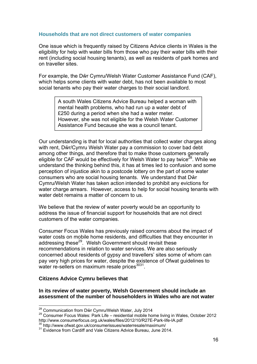#### **Households that are not direct customers of water companies**

One issue which is frequently raised by Citizens Advice clients in Wales is the eligibility for help with water bills from those who pay their water bills with their rent (including social housing tenants), as well as residents of park homes and on traveller sites.

For example, the Dŵr Cymru/Welsh Water Customer Assistance Fund (CAF), which helps some clients with water debt, has not been available to most social tenants who pay their water charges to their social landlord.

> A south Wales Citizens Advice Bureau helped a woman with mental health problems, who had run up a water debt of £250 during a period when she had a water meter. However, she was not eligible for the Welsh Water Customer Assistance Fund because she was a council tenant.

Our understanding is that for local authorities that collect water charges along with rent, Dŵr/Cymru Welsh Water pay a commission to cover bad debt among other things, and therefore that to make those customers generally eligible for CAF would be effectively for Welsh Water to pay twice<sup>28</sup>. While we understand the thinking behind this, it has at times led to confusion and some perception of injustice akin to a postcode lottery on the part of some water consumers who are social housing tenants. We understand that Dŵr Cymru/Welsh Water has taken action intended to prohibit any evictions for water charge arrears. However, access to help for social housing tenants with water debt remains a matter of concern to us.

We believe that the review of water poverty would be an opportunity to address the issue of financial support for households that are not direct customers of the water companies.

Consumer Focus Wales has previously raised concerns about the impact of water costs on mobile home residents, and difficulties that they encounter in addressing these<sup>29</sup>. Welsh Government should revisit these recommendations in relation to water services. We are also seriously concerned about residents of gypsy and travellers' sites some of whom can pay very high prices for water, despite the existence of Ofwat guidelines to water re-sellers on maximum resale prices $3031$ .

#### **Citizens Advice Cymru believes that**

**In its review of water poverty, Welsh Government should include an assessment of the number of householders in Wales who are not water** 

<sup>&</sup>lt;sup>28</sup> Communication from Dŵr Cymru/Welsh Water, July 2014

<sup>&</sup>lt;sup>29</sup> Consumer Focus Wales: Park Life – residential mobile home living in Wales, October 2012<br>http://www.consumerfocus.org.uk/wales/files/2012/10/R27E-Park-life-IA.pdf

 $\frac{30}{30}$  http://www.ofwat.gov.uk/consumerissues/waterresale/maximum/<br> $\frac{31}{31}$  Evidence from Cardiff and Vale Citizens Advice Bureau, June 2014.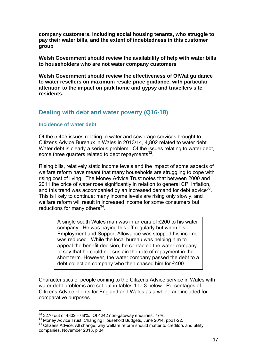**company customers, including social housing tenants, who struggle to pay their water bills, and the extent of indebtedness in this customer group** 

**Welsh Government should review the availability of help with water bills to householders who are not water company customers** 

**Welsh Government should review the effectiveness of OfWat guidance to water resellers on maximum resale price guidance, with particular attention to the impact on park home and gypsy and travellers site residents.** 

# **Dealing with debt and water poverty (Q16-18)**

#### **Incidence of water debt**

Of the 5,405 issues relating to water and sewerage services brought to Citizens Advice Bureaux in Wales in 2013/14, 4,802 related to water debt. Water debt is clearly a serious problem. Of the issues relating to water debt, some three quarters related to debt repayments $32$ .

Rising bills, relatively static income levels and the impact of some aspects of welfare reform have meant that many households are struggling to cope with rising cost of living. The Money Advice Trust notes that between 2000 and 2011 the price of water rose significantly in relation to general CPI inflation, and this trend was accompanied by an increased demand for debt advice  $33$ . This is likely to continue; many income levels are rising only slowly, and welfare reform will result in increased income for some consumers but reductions for many others $34$ .

> A single south Wales man was in arrears of £200 to his water company. He was paying this off regularly but when his Employment and Support Allowance was stopped his income was reduced. While the local bureau was helping him to appeal the benefit decision, he contacted the water company to say that he could not sustain the rate of repayment in the short term. However, the water company passed the debt to a debt collection company who then chased him for £400.

Characteristics of people coming to the Citizens Advice service in Wales with water debt problems are set out in tables 1 to 3 below. Percentages of Citizens Advice clients for England and Wales as a whole are included for comparative purposes.

 $32$  3276 out of 4802 - 68%. Of 4242 non-gateway enquiries, 77%.

<sup>&</sup>lt;sup>33</sup> Money Advice Trust: Changing Household Budgets, June 2014, pp21-22.<br><sup>34</sup> Citizens Advice: All change: why welfare reform should matter to creditors and utility companies, November 2013, p 34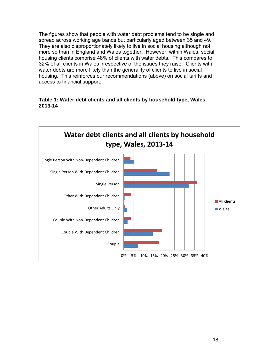The figures show that people with water debt problems tend to be single and spread across working age bands but particularly aged between 35 and 49. They are also disproportionately likely to live in social housing although not more so than in England and Wales together. However, within Wales, social housing clients comprise 48% of clients with water debts. This compares to 32% of all clients in Wales irrespective of the issues they raise. Clients with water debts are more likely than the generality of clients to live in social housing. This reinforces our recommendations (above) on social tariffs and access to financial support.

#### **Table 1: Water debt clients and all clients by household type, Wales, 2013-14**

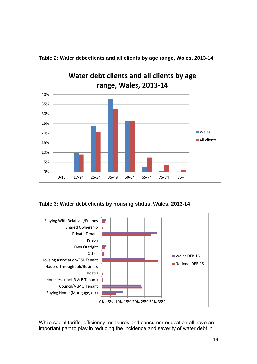

**Table 2: Water debt clients and all clients by age range, Wales, 2013-14**





While social tariffs, efficiency measures and consumer education all have an important part to play in reducing the incidence and severity of water debt in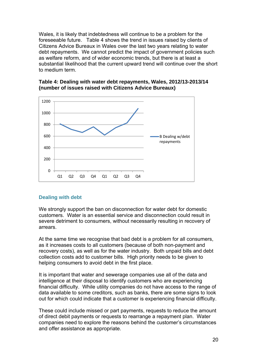Wales, it is likely that indebtedness will continue to be a problem for the foreseeable future. Table 4 shows the trend in issues raised by clients of Citizens Advice Bureaux in Wales over the last two years relating to water debt repayments. We cannot predict the impact of government policies such as welfare reform, and of wider economic trends, but there is at least a substantial likelihood that the current upward trend will continue over the short to medium term.



#### **Table 4: Dealing with water debt repayments, Wales, 2012/13-2013/14 (number of issues raised with Citizens Advice Bureaux)**

#### **Dealing with debt**

We strongly support the ban on disconnection for water debt for domestic customers. Water is an essential service and disconnection could result in severe detriment to consumers, without necessarily resulting in recovery of arrears.

At the same time we recognise that bad debt is a problem for all consumers, as it increases costs to all customers (because of both non-payment and recovery costs), as well as for the water industry. Both unpaid bills and debt collection costs add to customer bills. High priority needs to be given to helping consumers to avoid debt in the first place.

It is important that water and sewerage companies use all of the data and intelligence at their disposal to identify customers who are experiencing financial difficulty. While utility companies do not have access to the range of data available to some creditors, such as banks, there are some signs to look out for which could indicate that a customer is experiencing financial difficulty.

These could include missed or part payments, requests to reduce the amount of direct debit payments or requests to rearrange a repayment plan. Water companies need to explore the reasons behind the customer's circumstances and offer assistance as appropriate.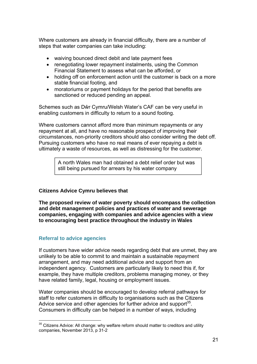Where customers are already in financial difficulty, there are a number of steps that water companies can take including:

- waiving bounced direct debit and late payment fees
- renegotiating lower repayment instalments, using the Common Financial Statement to assess what can be afforded, or
- holding off on enforcement action until the customer is back on a more stable financial footing, and
- moratoriums or payment holidays for the period that benefits are sanctioned or reduced pending an appeal.

Schemes such as Dŵr Cymru/Welsh Water's CAF can be very useful in enabling customers in difficulty to return to a sound footing.

Where customers cannot afford more than minimum repayments or any repayment at all, and have no reasonable prospect of improving their circumstances, non-priority creditors should also consider writing the debt off. Pursuing customers who have no real means of ever repaying a debt is ultimately a waste of resources, as well as distressing for the customer.

> A north Wales man had obtained a debt relief order but was still being pursued for arrears by his water company

# **Citizens Advice Cymru believes that**

**The proposed review of water poverty should encompass the collection and debt management policies and practices of water and sewerage companies, engaging with companies and advice agencies with a view to encouraging best practice throughout the industry in Wales** 

# **Referral to advice agencies**

If customers have wider advice needs regarding debt that are unmet, they are unlikely to be able to commit to and maintain a sustainable repayment arrangement, and may need additional advice and support from an independent agency. Customers are particularly likely to need this if, for example, they have multiple creditors, problems managing money, or they have related family, legal, housing or employment issues.

Water companies should be encouraged to develop referral pathways for staff to refer customers in difficulty to organisations such as the Citizens Advice service and other agencies for further advice and support<sup>35</sup>. Consumers in difficulty can be helped in a number of ways, including

  $35$  Citizens Advice: All change: why welfare reform should matter to creditors and utility companies, November 2013, p 31-2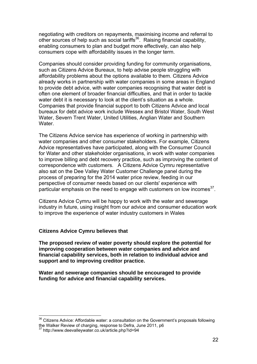negotiating with creditors on repayments, maximising income and referral to other sources of help such as social tariffs<sup>36</sup>. Raising financial capability, enabling consumers to plan and budget more effectively, can also help consumers cope with affordability issues in the longer term.

Companies should consider providing funding for community organisations, such as Citizens Advice Bureaux, to help advise people struggling with affordability problems about the options available to them. Citizens Advice already works in partnership with water companies in some areas in England to provide debt advice, with water companies recognising that water debt is often one element of broader financial difficulties, and that in order to tackle water debt it is necessary to look at the client's situation as a whole. Companies that provide financial support to both Citizens Advice and local bureaux for debt advice work include Wessex and Bristol Water, South West Water, Severn Trent Water, United Utilities, Anglian Water and Southern Water.

The Citizens Advice service has experience of working in partnership with water companies and other consumer stakeholders. For example, Citizens Advice representatives have participated, along with the Consumer Council for Water and other stakeholder organisations, in work with water companies to improve billing and debt recovery practice, such as improving the content of correspondence with customers. A Citizens Advice Cymru representative also sat on the Dee Valley Water Customer Challenge panel during the process of preparing for the 2014 water price review, feeding in our perspective of consumer needs based on our clients' experience with particular emphasis on the need to engage with customers on low incomes<sup>37</sup>.

Citizens Advice Cymru will be happy to work with the water and sewerage industry in future, using insight from our advice and consumer education work to improve the experience of water industry customers in Wales

#### **Citizens Advice Cymru believes that**

**The proposed review of water poverty should explore the potential for improving cooperation between water companies and advice and financial capability services, both in relation to individual advice and support and to improving creditor practice.** 

**Water and sewerage companies should be encouraged to provide funding for advice and financial capability services.**

<sup>&</sup>lt;sup>36</sup> Citizens Advice: Affordable water: a consultation on the Government's proposals following the Walker Review of charging, response to Defra, June 2011, p6

<sup>37</sup> http://www.deevalleywater.co.uk/article.php?id=94